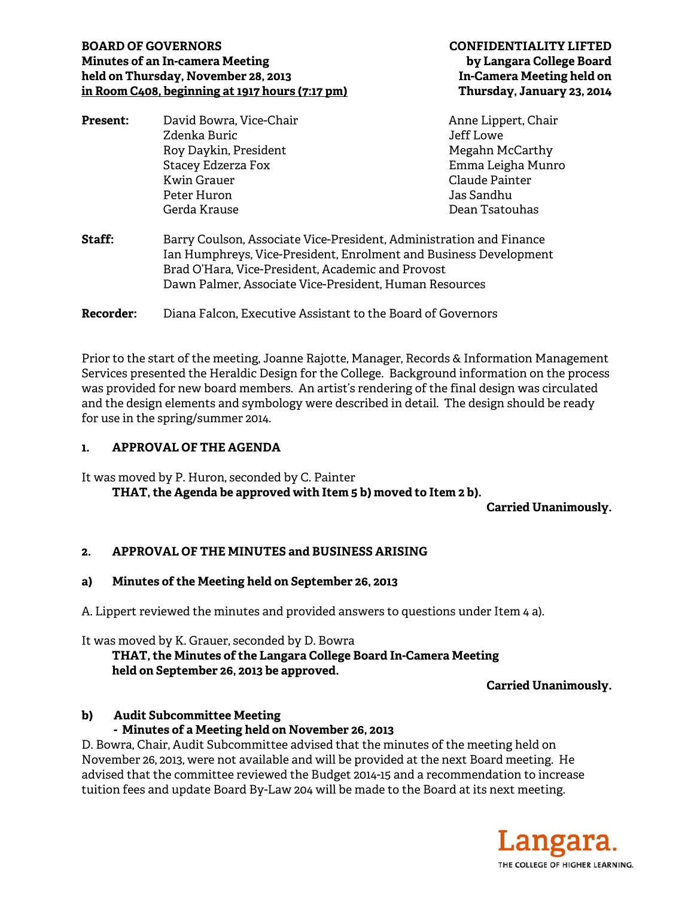## **BOARD OF GOVERNORS CONFIDENTIALITY LIFTED Minutes of an In-camera Meeting by Langara College Board held on Thursday, November 28, 2013 In-Camera Meeting held on in Room C408, beginning at 1917 hours (7:17 pm) Thursday, January 23, 2014**

**Present:** David Bowra, Vice-Chair **Anne Lippert, Chair** Present: David Bowra, Vice-Chair Zdenka Buric *Zdenka* Buric *Jeff Lowe* Roy Daykin, President Megahn McCarthy Stacey Edzerza Fox **Emma Leigha Munro**  Kwin Grauer Claude Painter Peter Huron Jas Sandhu Gerda Krause Dean Tsatouhas

- 
- **Staff:** Barry Coulson, Associate Vice-President, Administration and Finance Ian Humphreys, Vice-President, Enrolment and Business Development Brad O'Hara, Vice-President, Academic and Provost Dawn Palmer, Associate Vice-President, Human Resources

**Recorder:** Diana Falcon, Executive Assistant to the Board of Governors

Prior to the start of the meeting, Joanne Rajotte, Manager, Records & Information Management Services presented the Heraldic Design for the College. Background information on the process was provided for new board members. An artist's rendering of the final design was circulated and the design elements and symbology were described in detail. The design should be ready for use in the spring/summer 2014.

# **1. APPROVAL OF THE AGENDA**

It was moved by P. Huron, seconded by C. Painter

 **THAT, the Agenda be approved with Item 5 b) moved to Item 2 b).** 

**Carried Unanimously.** 

# **2. APPROVAL OF THE MINUTES and BUSINESS ARISING**

#### **a) Minutes of the Meeting held on September 26, 2013**

A. Lippert reviewed the minutes and provided answers to questions under Item 4 a).

## It was moved by K. Grauer, seconded by D. Bowra  **THAT, the Minutes of the Langara College Board In-Camera Meeting held on September 26, 2013 be approved.**

**Carried Unanimously.** 

# **b) Audit Subcommittee Meeting**

# **- Minutes of a Meeting held on November 26, 2013**

D. Bowra, Chair, Audit Subcommittee advised that the minutes of the meeting held on November 26, 2013, were not available and will be provided at the next Board meeting. He advised that the committee reviewed the Budget 2014-15 and a recommendation to increase tuition fees and update Board By-Law 204 will be made to the Board at its next meeting.

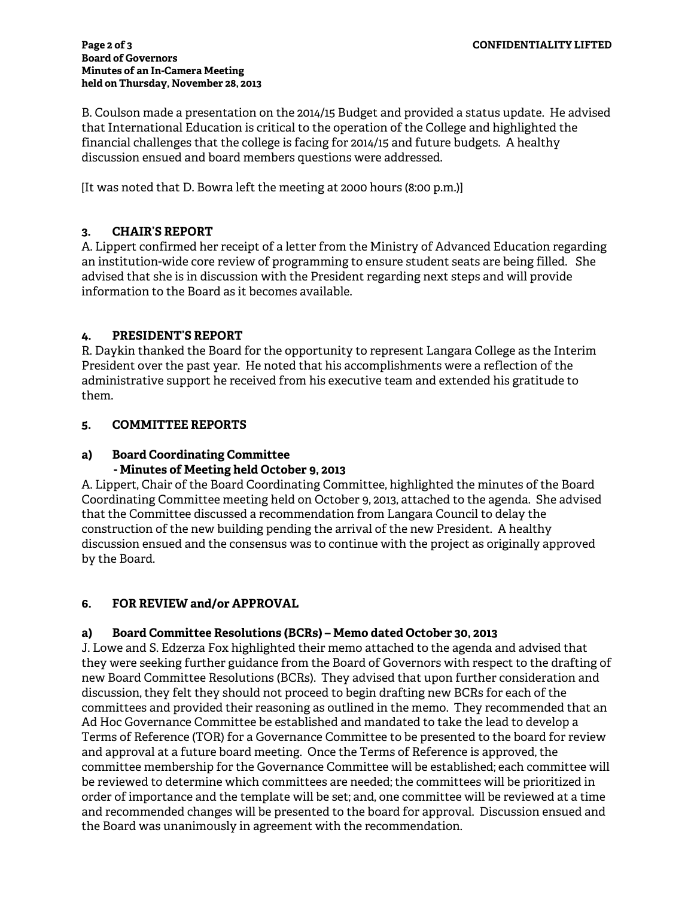#### **Page 2 of 3 CONFIDENTIALITY LIFTED Board of Governors Minutes of an In-Camera Meeting held on Thursday, November 28, 2013**

B. Coulson made a presentation on the 2014/15 Budget and provided a status update. He advised that International Education is critical to the operation of the College and highlighted the financial challenges that the college is facing for 2014/15 and future budgets. A healthy discussion ensued and board members questions were addressed.

[It was noted that D. Bowra left the meeting at 2000 hours (8:00 p.m.)]

## **3. CHAIR'S REPORT**

A. Lippert confirmed her receipt of a letter from the Ministry of Advanced Education regarding an institution-wide core review of programming to ensure student seats are being filled. She advised that she is in discussion with the President regarding next steps and will provide information to the Board as it becomes available.

#### **4. PRESIDENT'S REPORT**

R. Daykin thanked the Board for the opportunity to represent Langara College as the Interim President over the past year. He noted that his accomplishments were a reflection of the administrative support he received from his executive team and extended his gratitude to them.

#### **5. COMMITTEE REPORTS**

# **a) Board Coordinating Committee**

#### **- Minutes of Meeting held October 9, 2013**

A. Lippert, Chair of the Board Coordinating Committee, highlighted the minutes of the Board Coordinating Committee meeting held on October 9, 2013, attached to the agenda. She advised that the Committee discussed a recommendation from Langara Council to delay the construction of the new building pending the arrival of the new President. A healthy discussion ensued and the consensus was to continue with the project as originally approved by the Board.

## **6. FOR REVIEW and/or APPROVAL**

#### **a) Board Committee Resolutions (BCRs) – Memo dated October 30, 2013**

J. Lowe and S. Edzerza Fox highlighted their memo attached to the agenda and advised that they were seeking further guidance from the Board of Governors with respect to the drafting of new Board Committee Resolutions (BCRs). They advised that upon further consideration and discussion, they felt they should not proceed to begin drafting new BCRs for each of the committees and provided their reasoning as outlined in the memo. They recommended that an Ad Hoc Governance Committee be established and mandated to take the lead to develop a Terms of Reference (TOR) for a Governance Committee to be presented to the board for review and approval at a future board meeting. Once the Terms of Reference is approved, the committee membership for the Governance Committee will be established; each committee will be reviewed to determine which committees are needed; the committees will be prioritized in order of importance and the template will be set; and, one committee will be reviewed at a time and recommended changes will be presented to the board for approval. Discussion ensued and the Board was unanimously in agreement with the recommendation.